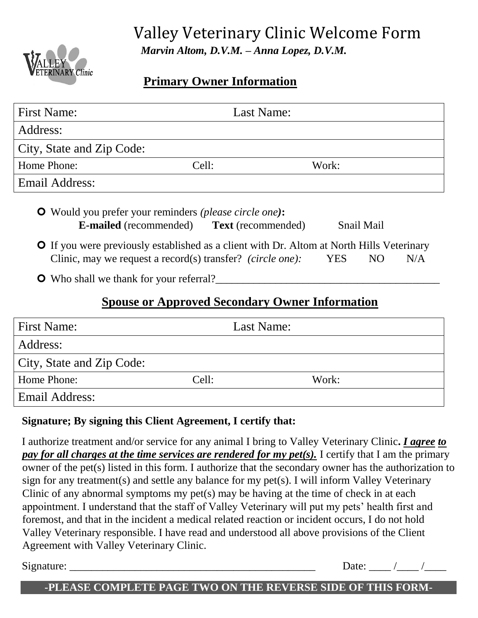

# Valley Veterinary Clinic Welcome Form  *Marvin Altom, D.V.M. – Anna Lopez, D.V.M.*

## **Primary Owner Information**

| <b>First Name:</b>        | Last Name: |
|---------------------------|------------|
| Address:                  |            |
| City, State and Zip Code: |            |
| Home Phone:<br>Cell:      | Work:      |
| Email Address:            |            |
|                           |            |

 Would you prefer your reminders *(please circle one)***: E-mailed** (recommended) **Text** (recommended) Snail Mail

**O** If you were previously established as a client with Dr. Altom at North Hills Veterinary Clinic, may we request a record(s) transfer? *(circle one)*: YES NO N/A

**O** Who shall we thank for your referral?

## **Spouse or Approved Secondary Owner Information**

| <b>First Name:</b>        |       | Last Name: |
|---------------------------|-------|------------|
| Address:                  |       |            |
| City, State and Zip Code: |       |            |
| Home Phone:               | Cell: | Work:      |
| Email Address:            |       |            |

### **Signature; By signing this Client Agreement, I certify that:**

I authorize treatment and/or service for any animal I bring to Valley Veterinary Clinic**.** *I agree to pay for all charges at the time services are rendered for my pet(s).* I certify that I am the primary owner of the pet(s) listed in this form. I authorize that the secondary owner has the authorization to sign for any treatment(s) and settle any balance for my pet(s). I will inform Valley Veterinary Clinic of any abnormal symptoms my pet(s) may be having at the time of check in at each appointment. I understand that the staff of Valley Veterinary will put my pets' health first and foremost, and that in the incident a medical related reaction or incident occurs, I do not hold Valley Veterinary responsible. I have read and understood all above provisions of the Client Agreement with Valley Veterinary Clinic.

 $Signature:$  Date:  $\Box$ 

#### **-PLEASE COMPLETE PAGE TWO ON THE REVERSE SIDE OF THIS FORM-**